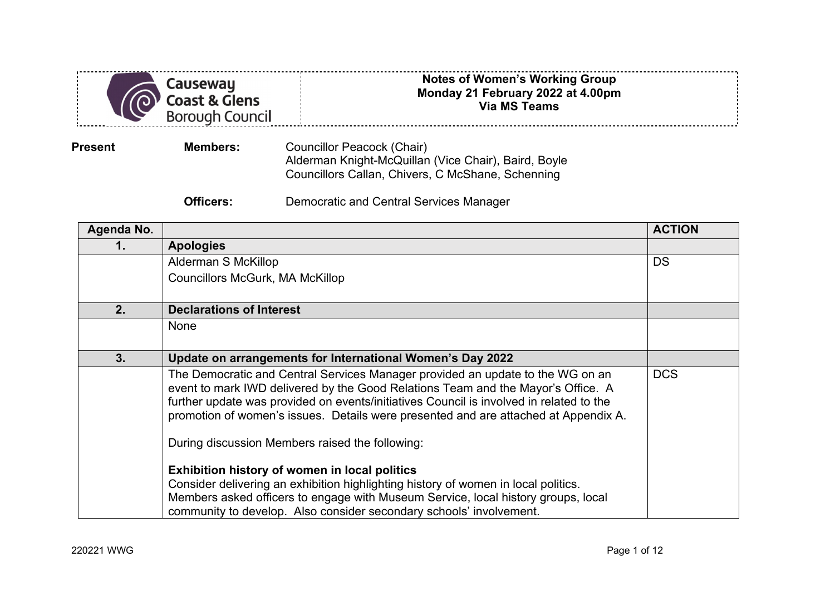|                | Causeway<br><b>Coast &amp; Glens</b><br>Borough Council | <b>Notes of Women's Working Group</b><br>Monday 21 February 2022 at 4.00pm<br><b>Via MS Teams</b>                                       |  |  |
|----------------|---------------------------------------------------------|-----------------------------------------------------------------------------------------------------------------------------------------|--|--|
| <b>Present</b> | <b>Members:</b>                                         | Councillor Peacock (Chair)<br>Alderman Knight-McQuillan (Vice Chair), Baird, Boyle<br>Councillors Callan, Chivers, C McShane, Schenning |  |  |
|                | Officers:                                               | Democratic and Central Services Manager                                                                                                 |  |  |

| Agenda No. |                                                                                                                                                                                                                                                                                                                                                                                                         | <b>ACTION</b> |
|------------|---------------------------------------------------------------------------------------------------------------------------------------------------------------------------------------------------------------------------------------------------------------------------------------------------------------------------------------------------------------------------------------------------------|---------------|
| 1.         | <b>Apologies</b>                                                                                                                                                                                                                                                                                                                                                                                        |               |
|            | Alderman S McKillop                                                                                                                                                                                                                                                                                                                                                                                     | <b>DS</b>     |
|            | <b>Councillors McGurk, MA McKillop</b>                                                                                                                                                                                                                                                                                                                                                                  |               |
| 2.         | <b>Declarations of Interest</b>                                                                                                                                                                                                                                                                                                                                                                         |               |
|            | None                                                                                                                                                                                                                                                                                                                                                                                                    |               |
| 3.         | Update on arrangements for International Women's Day 2022                                                                                                                                                                                                                                                                                                                                               |               |
|            | The Democratic and Central Services Manager provided an update to the WG on an<br>event to mark IWD delivered by the Good Relations Team and the Mayor's Office. A<br>further update was provided on events/initiatives Council is involved in related to the<br>promotion of women's issues. Details were presented and are attached at Appendix A.<br>During discussion Members raised the following: | <b>DCS</b>    |
|            | Exhibition history of women in local politics                                                                                                                                                                                                                                                                                                                                                           |               |
|            | Consider delivering an exhibition highlighting history of women in local politics.                                                                                                                                                                                                                                                                                                                      |               |
|            | Members asked officers to engage with Museum Service, local history groups, local<br>community to develop. Also consider secondary schools' involvement.                                                                                                                                                                                                                                                |               |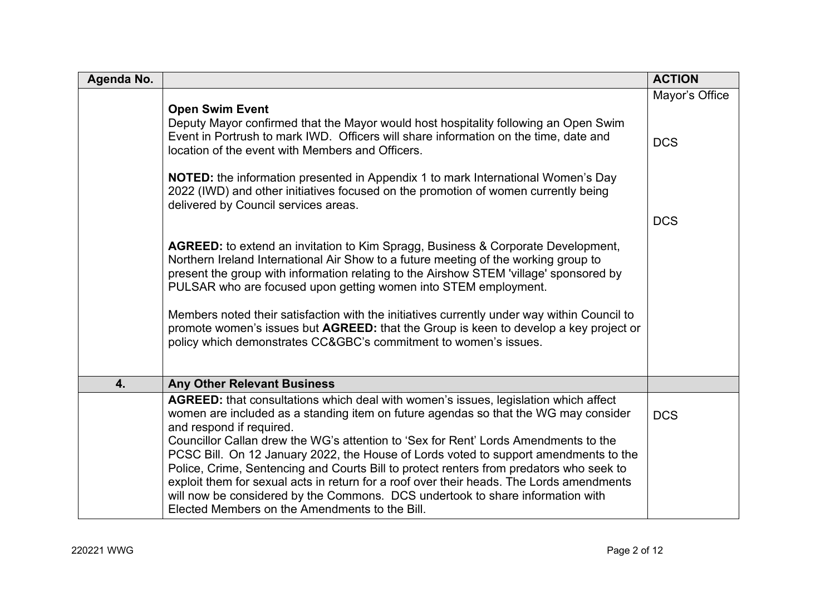| Agenda No. |                                                                                                                                                                                                                                                                                                                                                                                                                                                                                                                                                                                                                                                                                                                  | <b>ACTION</b>                |
|------------|------------------------------------------------------------------------------------------------------------------------------------------------------------------------------------------------------------------------------------------------------------------------------------------------------------------------------------------------------------------------------------------------------------------------------------------------------------------------------------------------------------------------------------------------------------------------------------------------------------------------------------------------------------------------------------------------------------------|------------------------------|
|            | <b>Open Swim Event</b><br>Deputy Mayor confirmed that the Mayor would host hospitality following an Open Swim<br>Event in Portrush to mark IWD. Officers will share information on the time, date and<br>location of the event with Members and Officers.<br><b>NOTED:</b> the information presented in Appendix 1 to mark International Women's Day<br>2022 (IWD) and other initiatives focused on the promotion of women currently being                                                                                                                                                                                                                                                                       | Mayor's Office<br><b>DCS</b> |
|            | delivered by Council services areas.<br>AGREED: to extend an invitation to Kim Spragg, Business & Corporate Development,<br>Northern Ireland International Air Show to a future meeting of the working group to<br>present the group with information relating to the Airshow STEM 'village' sponsored by<br>PULSAR who are focused upon getting women into STEM employment.<br>Members noted their satisfaction with the initiatives currently under way within Council to<br>promote women's issues but AGREED: that the Group is keen to develop a key project or<br>policy which demonstrates CC&GBC's commitment to women's issues.                                                                         | <b>DCS</b>                   |
| 4.         | <b>Any Other Relevant Business</b>                                                                                                                                                                                                                                                                                                                                                                                                                                                                                                                                                                                                                                                                               |                              |
|            | AGREED: that consultations which deal with women's issues, legislation which affect<br>women are included as a standing item on future agendas so that the WG may consider<br>and respond if required.<br>Councillor Callan drew the WG's attention to 'Sex for Rent' Lords Amendments to the<br>PCSC Bill. On 12 January 2022, the House of Lords voted to support amendments to the<br>Police, Crime, Sentencing and Courts Bill to protect renters from predators who seek to<br>exploit them for sexual acts in return for a roof over their heads. The Lords amendments<br>will now be considered by the Commons. DCS undertook to share information with<br>Elected Members on the Amendments to the Bill. | <b>DCS</b>                   |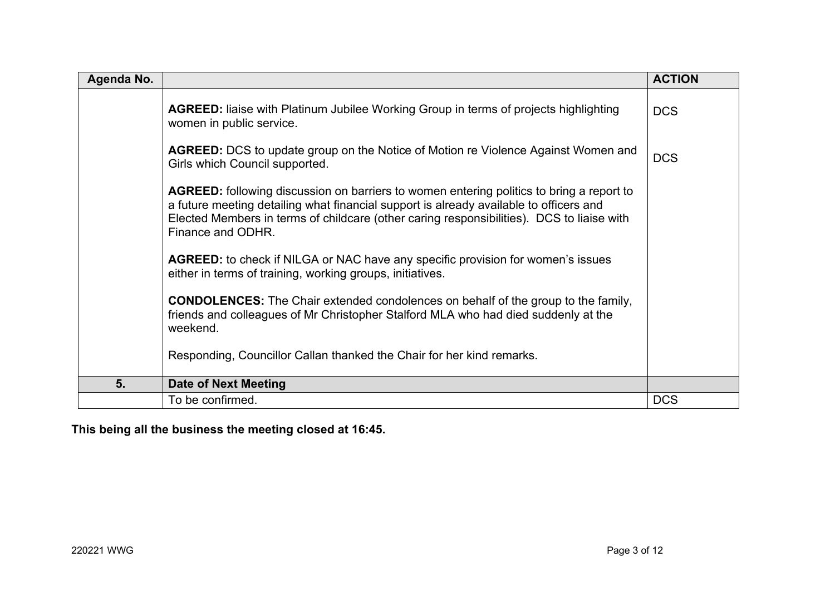| Agenda No. |                                                                                                                                                                                                                                                                                                             | <b>ACTION</b> |
|------------|-------------------------------------------------------------------------------------------------------------------------------------------------------------------------------------------------------------------------------------------------------------------------------------------------------------|---------------|
|            | <b>AGREED:</b> liaise with Platinum Jubilee Working Group in terms of projects highlighting<br>women in public service.                                                                                                                                                                                     | <b>DCS</b>    |
|            | <b>AGREED:</b> DCS to update group on the Notice of Motion re Violence Against Women and<br>Girls which Council supported.                                                                                                                                                                                  | <b>DCS</b>    |
|            | <b>AGREED:</b> following discussion on barriers to women entering politics to bring a report to<br>a future meeting detailing what financial support is already available to officers and<br>Elected Members in terms of childcare (other caring responsibilities). DCS to liaise with<br>Finance and ODHR. |               |
|            | AGREED: to check if NILGA or NAC have any specific provision for women's issues<br>either in terms of training, working groups, initiatives.                                                                                                                                                                |               |
|            | <b>CONDOLENCES:</b> The Chair extended condolences on behalf of the group to the family,<br>friends and colleagues of Mr Christopher Stalford MLA who had died suddenly at the<br>weekend.                                                                                                                  |               |
|            | Responding, Councillor Callan thanked the Chair for her kind remarks.                                                                                                                                                                                                                                       |               |
| 5.         | Date of Next Meeting                                                                                                                                                                                                                                                                                        |               |
|            | To be confirmed.                                                                                                                                                                                                                                                                                            | <b>DCS</b>    |

**This being all the business the meeting closed at 16:45.**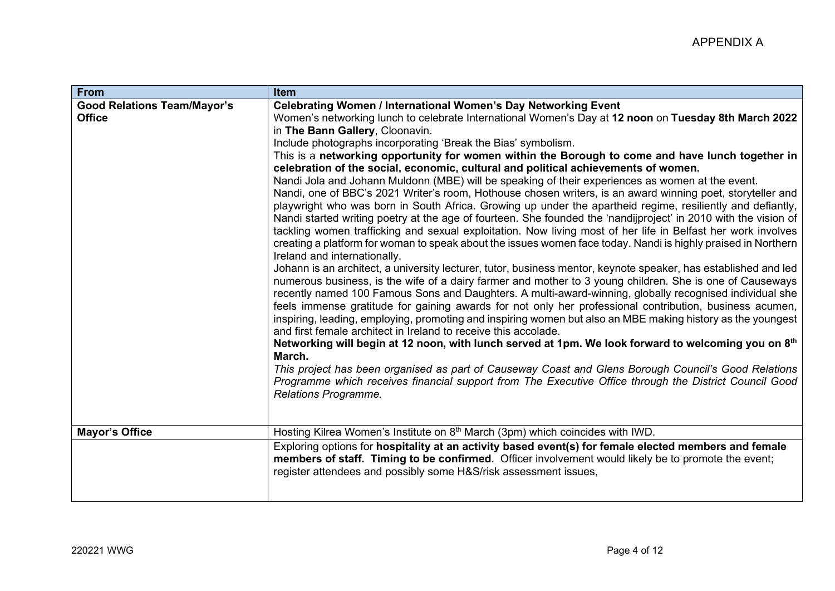| <b>From</b>                                         | Item                                                                                                                                                                                                                                                                                                                                                                                                                                                                                                                                                                                                                                                                                                                                                                                                                                                                                                                                                                                                                                                                                                                                                                                                                                                                                                                                                                                                                                                                                                                                                                                                                                                                                                                                                                                                                                                                                                                                                                                                                                                                                                                                                                                       |
|-----------------------------------------------------|--------------------------------------------------------------------------------------------------------------------------------------------------------------------------------------------------------------------------------------------------------------------------------------------------------------------------------------------------------------------------------------------------------------------------------------------------------------------------------------------------------------------------------------------------------------------------------------------------------------------------------------------------------------------------------------------------------------------------------------------------------------------------------------------------------------------------------------------------------------------------------------------------------------------------------------------------------------------------------------------------------------------------------------------------------------------------------------------------------------------------------------------------------------------------------------------------------------------------------------------------------------------------------------------------------------------------------------------------------------------------------------------------------------------------------------------------------------------------------------------------------------------------------------------------------------------------------------------------------------------------------------------------------------------------------------------------------------------------------------------------------------------------------------------------------------------------------------------------------------------------------------------------------------------------------------------------------------------------------------------------------------------------------------------------------------------------------------------------------------------------------------------------------------------------------------------|
| <b>Good Relations Team/Mayor's</b><br><b>Office</b> | Celebrating Women / International Women's Day Networking Event<br>Women's networking lunch to celebrate International Women's Day at 12 noon on Tuesday 8th March 2022<br>in The Bann Gallery, Cloonavin.<br>Include photographs incorporating 'Break the Bias' symbolism.<br>This is a networking opportunity for women within the Borough to come and have lunch together in<br>celebration of the social, economic, cultural and political achievements of women.<br>Nandi Jola and Johann Muldonn (MBE) will be speaking of their experiences as women at the event.<br>Nandi, one of BBC's 2021 Writer's room, Hothouse chosen writers, is an award winning poet, storyteller and<br>playwright who was born in South Africa. Growing up under the apartheid regime, resiliently and defiantly,<br>Nandi started writing poetry at the age of fourteen. She founded the 'nandijproject' in 2010 with the vision of<br>tackling women trafficking and sexual exploitation. Now living most of her life in Belfast her work involves<br>creating a platform for woman to speak about the issues women face today. Nandi is highly praised in Northern<br>Ireland and internationally.<br>Johann is an architect, a university lecturer, tutor, business mentor, keynote speaker, has established and led<br>numerous business, is the wife of a dairy farmer and mother to 3 young children. She is one of Causeways<br>recently named 100 Famous Sons and Daughters. A multi-award-winning, globally recognised individual she<br>feels immense gratitude for gaining awards for not only her professional contribution, business acumen,<br>inspiring, leading, employing, promoting and inspiring women but also an MBE making history as the youngest<br>and first female architect in Ireland to receive this accolade.<br>Networking will begin at 12 noon, with lunch served at 1pm. We look forward to welcoming you on 8th<br>March.<br>This project has been organised as part of Causeway Coast and Glens Borough Council's Good Relations<br>Programme which receives financial support from The Executive Office through the District Council Good<br>Relations Programme. |
| <b>Mayor's Office</b>                               | Hosting Kilrea Women's Institute on $8th$ March (3pm) which coincides with IWD.<br>Exploring options for hospitality at an activity based event(s) for female elected members and female<br>members of staff. Timing to be confirmed. Officer involvement would likely be to promote the event;<br>register attendees and possibly some H&S/risk assessment issues,                                                                                                                                                                                                                                                                                                                                                                                                                                                                                                                                                                                                                                                                                                                                                                                                                                                                                                                                                                                                                                                                                                                                                                                                                                                                                                                                                                                                                                                                                                                                                                                                                                                                                                                                                                                                                        |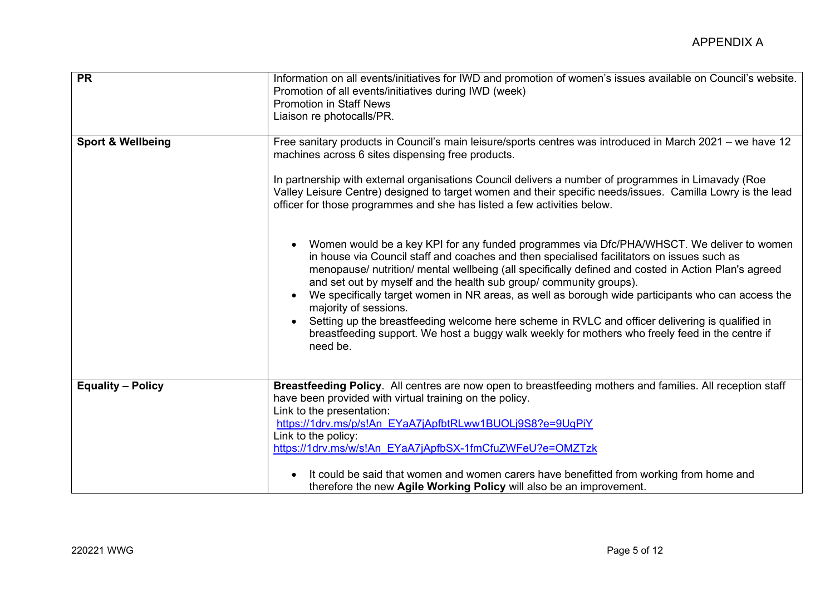| <b>PR</b>                    | Information on all events/initiatives for IWD and promotion of women's issues available on Council's website.<br>Promotion of all events/initiatives during IWD (week)<br><b>Promotion in Staff News</b><br>Liaison re photocalls/PR.                                                                                                                                                                                                                                                                                                                                                                                                                                                                                |
|------------------------------|----------------------------------------------------------------------------------------------------------------------------------------------------------------------------------------------------------------------------------------------------------------------------------------------------------------------------------------------------------------------------------------------------------------------------------------------------------------------------------------------------------------------------------------------------------------------------------------------------------------------------------------------------------------------------------------------------------------------|
| <b>Sport &amp; Wellbeing</b> | Free sanitary products in Council's main leisure/sports centres was introduced in March 2021 – we have 12<br>machines across 6 sites dispensing free products.<br>In partnership with external organisations Council delivers a number of programmes in Limavady (Roe<br>Valley Leisure Centre) designed to target women and their specific needs/issues. Camilla Lowry is the lead<br>officer for those programmes and she has listed a few activities below.                                                                                                                                                                                                                                                       |
|                              | Women would be a key KPI for any funded programmes via Dfc/PHA/WHSCT. We deliver to women<br>in house via Council staff and coaches and then specialised facilitators on issues such as<br>menopause/ nutrition/ mental wellbeing (all specifically defined and costed in Action Plan's agreed<br>and set out by myself and the health sub group/ community groups).<br>We specifically target women in NR areas, as well as borough wide participants who can access the<br>majority of sessions.<br>Setting up the breastfeeding welcome here scheme in RVLC and officer delivering is qualified in<br>breastfeeding support. We host a buggy walk weekly for mothers who freely feed in the centre if<br>need be. |
| <b>Equality - Policy</b>     | Breastfeeding Policy. All centres are now open to breastfeeding mothers and families. All reception staff<br>have been provided with virtual training on the policy.<br>Link to the presentation:<br>https://1drv.ms/p/s!An EYaA7jApfbtRLww1BUOLj9S8?e=9UgPiY<br>Link to the policy:<br>https://1drv.ms/w/s!An EYaA7jApfbSX-1fmCfuZWFeU?e=OMZTzk<br>It could be said that women and women carers have benefitted from working from home and<br>therefore the new Agile Working Policy will also be an improvement.                                                                                                                                                                                                   |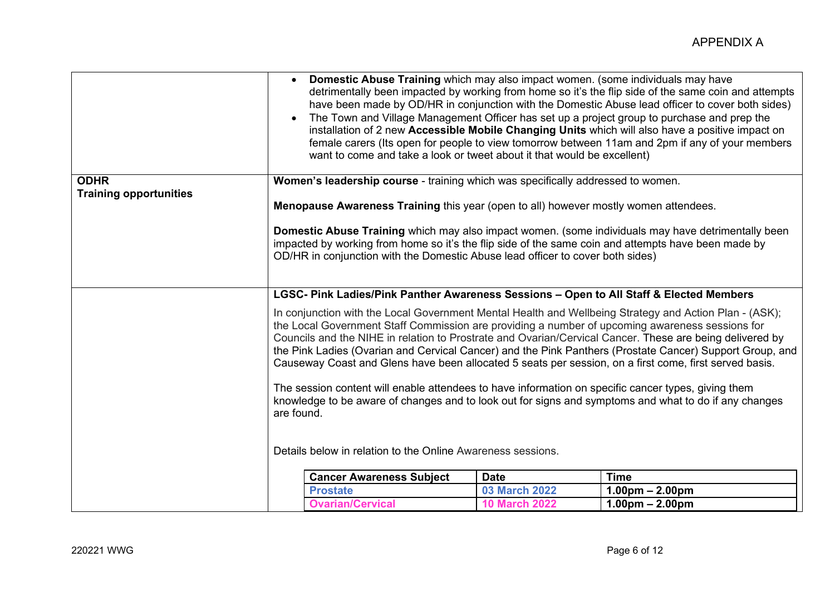|                               |                                                                                                                                                                                                                                                                                                                                                                                                                                                                                                                                                                                                                                                                                                                                                                                                                                          | Domestic Abuse Training which may also impact women. (some individuals may have                                                                                                       |                      | detrimentally been impacted by working from home so it's the flip side of the same coin and attempts<br>have been made by OD/HR in conjunction with the Domestic Abuse lead officer to cover both sides)<br>The Town and Village Management Officer has set up a project group to purchase and prep the |
|-------------------------------|------------------------------------------------------------------------------------------------------------------------------------------------------------------------------------------------------------------------------------------------------------------------------------------------------------------------------------------------------------------------------------------------------------------------------------------------------------------------------------------------------------------------------------------------------------------------------------------------------------------------------------------------------------------------------------------------------------------------------------------------------------------------------------------------------------------------------------------|---------------------------------------------------------------------------------------------------------------------------------------------------------------------------------------|----------------------|---------------------------------------------------------------------------------------------------------------------------------------------------------------------------------------------------------------------------------------------------------------------------------------------------------|
|                               |                                                                                                                                                                                                                                                                                                                                                                                                                                                                                                                                                                                                                                                                                                                                                                                                                                          | want to come and take a look or tweet about it that would be excellent)                                                                                                               |                      | installation of 2 new Accessible Mobile Changing Units which will also have a positive impact on<br>female carers (Its open for people to view tomorrow between 11am and 2pm if any of your members                                                                                                     |
| <b>ODHR</b>                   | Women's leadership course - training which was specifically addressed to women.                                                                                                                                                                                                                                                                                                                                                                                                                                                                                                                                                                                                                                                                                                                                                          |                                                                                                                                                                                       |                      |                                                                                                                                                                                                                                                                                                         |
| <b>Training opportunities</b> |                                                                                                                                                                                                                                                                                                                                                                                                                                                                                                                                                                                                                                                                                                                                                                                                                                          |                                                                                                                                                                                       |                      |                                                                                                                                                                                                                                                                                                         |
|                               | Menopause Awareness Training this year (open to all) however mostly women attendees.                                                                                                                                                                                                                                                                                                                                                                                                                                                                                                                                                                                                                                                                                                                                                     |                                                                                                                                                                                       |                      |                                                                                                                                                                                                                                                                                                         |
|                               |                                                                                                                                                                                                                                                                                                                                                                                                                                                                                                                                                                                                                                                                                                                                                                                                                                          | impacted by working from home so it's the flip side of the same coin and attempts have been made by<br>OD/HR in conjunction with the Domestic Abuse lead officer to cover both sides) |                      | Domestic Abuse Training which may also impact women. (some individuals may have detrimentally been                                                                                                                                                                                                      |
|                               | LGSC- Pink Ladies/Pink Panther Awareness Sessions - Open to All Staff & Elected Members                                                                                                                                                                                                                                                                                                                                                                                                                                                                                                                                                                                                                                                                                                                                                  |                                                                                                                                                                                       |                      |                                                                                                                                                                                                                                                                                                         |
|                               | In conjunction with the Local Government Mental Health and Wellbeing Strategy and Action Plan - (ASK);<br>the Local Government Staff Commission are providing a number of upcoming awareness sessions for<br>Councils and the NIHE in relation to Prostrate and Ovarian/Cervical Cancer. These are being delivered by<br>the Pink Ladies (Ovarian and Cervical Cancer) and the Pink Panthers (Prostate Cancer) Support Group, and<br>Causeway Coast and Glens have been allocated 5 seats per session, on a first come, first served basis.<br>The session content will enable attendees to have information on specific cancer types, giving them<br>knowledge to be aware of changes and to look out for signs and symptoms and what to do if any changes<br>are found.<br>Details below in relation to the Online Awareness sessions. |                                                                                                                                                                                       |                      |                                                                                                                                                                                                                                                                                                         |
|                               |                                                                                                                                                                                                                                                                                                                                                                                                                                                                                                                                                                                                                                                                                                                                                                                                                                          |                                                                                                                                                                                       |                      |                                                                                                                                                                                                                                                                                                         |
|                               |                                                                                                                                                                                                                                                                                                                                                                                                                                                                                                                                                                                                                                                                                                                                                                                                                                          |                                                                                                                                                                                       |                      |                                                                                                                                                                                                                                                                                                         |
|                               |                                                                                                                                                                                                                                                                                                                                                                                                                                                                                                                                                                                                                                                                                                                                                                                                                                          | <b>Cancer Awareness Subject</b>                                                                                                                                                       | <b>Date</b>          | <b>Time</b>                                                                                                                                                                                                                                                                                             |
|                               |                                                                                                                                                                                                                                                                                                                                                                                                                                                                                                                                                                                                                                                                                                                                                                                                                                          | <b>Prostate</b>                                                                                                                                                                       | <b>03 March 2022</b> | $1.00pm - 2.00pm$                                                                                                                                                                                                                                                                                       |
|                               |                                                                                                                                                                                                                                                                                                                                                                                                                                                                                                                                                                                                                                                                                                                                                                                                                                          | <b>Ovarian/Cervical</b>                                                                                                                                                               | <b>10 March 2022</b> | $1.00pm - 2.00pm$                                                                                                                                                                                                                                                                                       |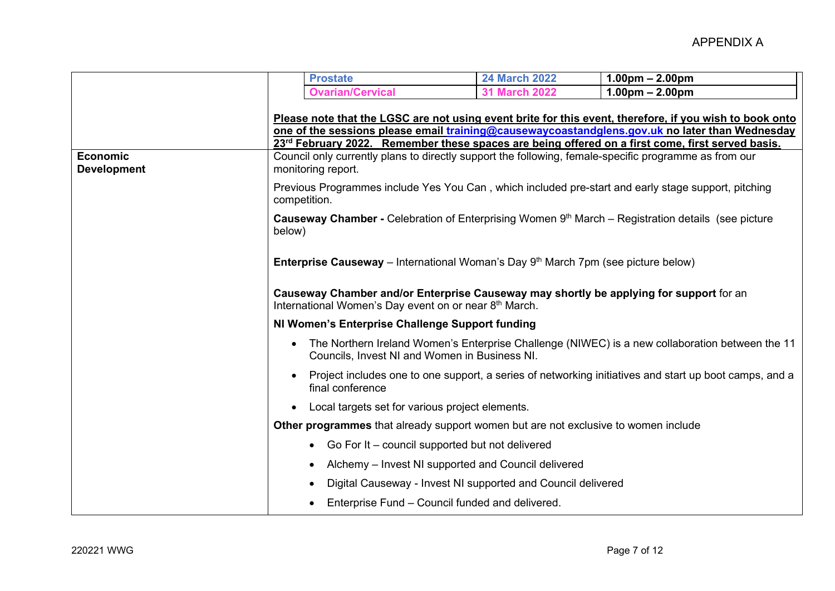|                                                                                                                                                           | <b>Prostate</b>                                                                                                                                                                                                                                                                                               | <b>24 March 2022</b>                                         | $1.00pm - 2.00pm$                                                                               |  |
|-----------------------------------------------------------------------------------------------------------------------------------------------------------|---------------------------------------------------------------------------------------------------------------------------------------------------------------------------------------------------------------------------------------------------------------------------------------------------------------|--------------------------------------------------------------|-------------------------------------------------------------------------------------------------|--|
|                                                                                                                                                           | <b>Ovarian/Cervical</b>                                                                                                                                                                                                                                                                                       | <b>31 March 2022</b>                                         | $1.00pm - 2.00pm$                                                                               |  |
|                                                                                                                                                           |                                                                                                                                                                                                                                                                                                               |                                                              |                                                                                                 |  |
|                                                                                                                                                           | Please note that the LGSC are not using event brite for this event, therefore, if you wish to book onto<br>one of the sessions please email training@causewaycoastandglens.gov.uk no later than Wednesday<br>23rd February 2022. Remember these spaces are being offered on a first come, first served basis. |                                                              |                                                                                                 |  |
|                                                                                                                                                           |                                                                                                                                                                                                                                                                                                               |                                                              |                                                                                                 |  |
| <b>Economic</b><br><b>Development</b>                                                                                                                     | Council only currently plans to directly support the following, female-specific programme as from our<br>monitoring report.                                                                                                                                                                                   |                                                              |                                                                                                 |  |
|                                                                                                                                                           | Previous Programmes include Yes You Can, which included pre-start and early stage support, pitching<br>competition.                                                                                                                                                                                           |                                                              |                                                                                                 |  |
|                                                                                                                                                           | <b>Causeway Chamber -</b> Celebration of Enterprising Women $9th$ March – Registration details (see picture<br>below)                                                                                                                                                                                         |                                                              |                                                                                                 |  |
| <b>Enterprise Causeway</b> – International Woman's Day $9th$ March 7pm (see picture below)                                                                |                                                                                                                                                                                                                                                                                                               |                                                              |                                                                                                 |  |
|                                                                                                                                                           | Causeway Chamber and/or Enterprise Causeway may shortly be applying for support for an<br>International Women's Day event on or near 8th March.<br>NI Women's Enterprise Challenge Support funding                                                                                                            |                                                              |                                                                                                 |  |
|                                                                                                                                                           |                                                                                                                                                                                                                                                                                                               |                                                              |                                                                                                 |  |
|                                                                                                                                                           | $\bullet$<br>Councils, Invest NI and Women in Business NI.                                                                                                                                                                                                                                                    |                                                              | The Northern Ireland Women's Enterprise Challenge (NIWEC) is a new collaboration between the 11 |  |
| Project includes one to one support, a series of networking initiatives and start up boot camps, and a<br>$\bullet$<br>final conference                   |                                                                                                                                                                                                                                                                                                               |                                                              |                                                                                                 |  |
| Local targets set for various project elements.<br>$\bullet$<br><b>Other programmes</b> that already support women but are not exclusive to women include |                                                                                                                                                                                                                                                                                                               |                                                              |                                                                                                 |  |
|                                                                                                                                                           |                                                                                                                                                                                                                                                                                                               |                                                              |                                                                                                 |  |
|                                                                                                                                                           | Go For It – council supported but not delivered<br>$\bullet$                                                                                                                                                                                                                                                  |                                                              |                                                                                                 |  |
|                                                                                                                                                           | ٠                                                                                                                                                                                                                                                                                                             | Alchemy - Invest NI supported and Council delivered          |                                                                                                 |  |
|                                                                                                                                                           | $\bullet$                                                                                                                                                                                                                                                                                                     | Digital Causeway - Invest NI supported and Council delivered |                                                                                                 |  |
|                                                                                                                                                           | Enterprise Fund – Council funded and delivered.<br>$\bullet$                                                                                                                                                                                                                                                  |                                                              |                                                                                                 |  |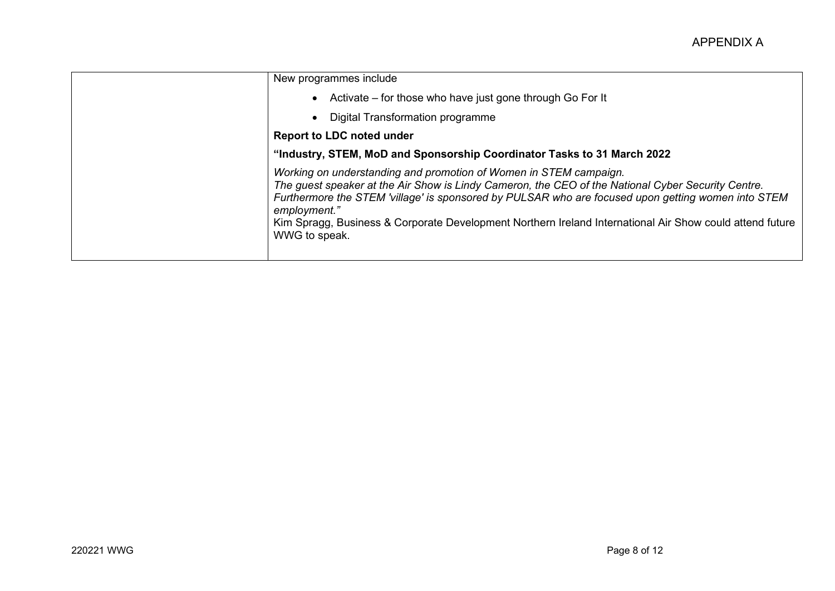| New programmes include                                                                                                                                                                                                                                                                                                                                                                                                     |  |  |
|----------------------------------------------------------------------------------------------------------------------------------------------------------------------------------------------------------------------------------------------------------------------------------------------------------------------------------------------------------------------------------------------------------------------------|--|--|
| • Activate – for those who have just gone through Go For It                                                                                                                                                                                                                                                                                                                                                                |  |  |
| <b>Digital Transformation programme</b>                                                                                                                                                                                                                                                                                                                                                                                    |  |  |
| <b>Report to LDC noted under</b>                                                                                                                                                                                                                                                                                                                                                                                           |  |  |
| "Industry, STEM, MoD and Sponsorship Coordinator Tasks to 31 March 2022                                                                                                                                                                                                                                                                                                                                                    |  |  |
| Working on understanding and promotion of Women in STEM campaign.<br>The guest speaker at the Air Show is Lindy Cameron, the CEO of the National Cyber Security Centre.<br>Furthermore the STEM 'village' is sponsored by PULSAR who are focused upon getting women into STEM<br>employment."<br>Kim Spragg, Business & Corporate Development Northern Ireland International Air Show could attend future<br>WWG to speak. |  |  |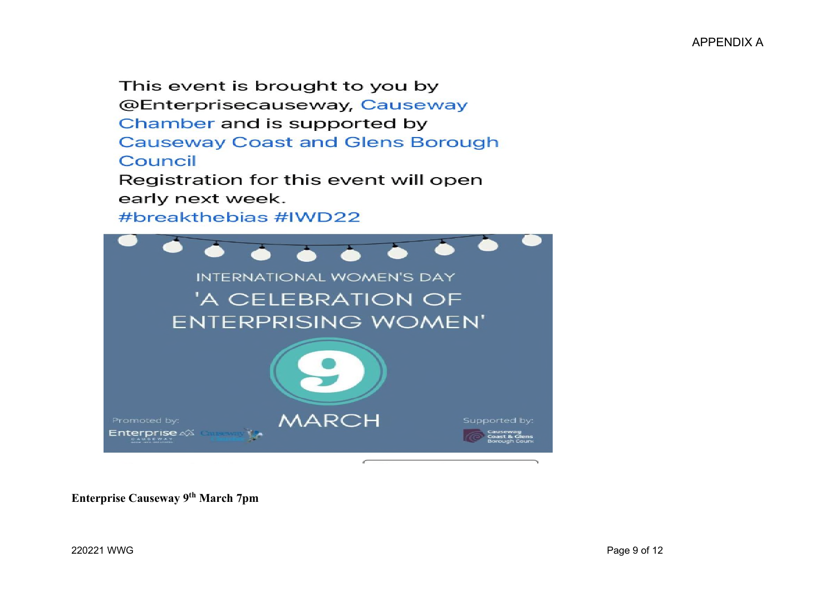This event is brought to you by @Enterprisecauseway, Causeway Chamber and is supported by **Causeway Coast and Glens Borough** Council Registration for this event will open early next week. #breakthebias #IWD22



**Enterprise Causeway 9th March 7pm**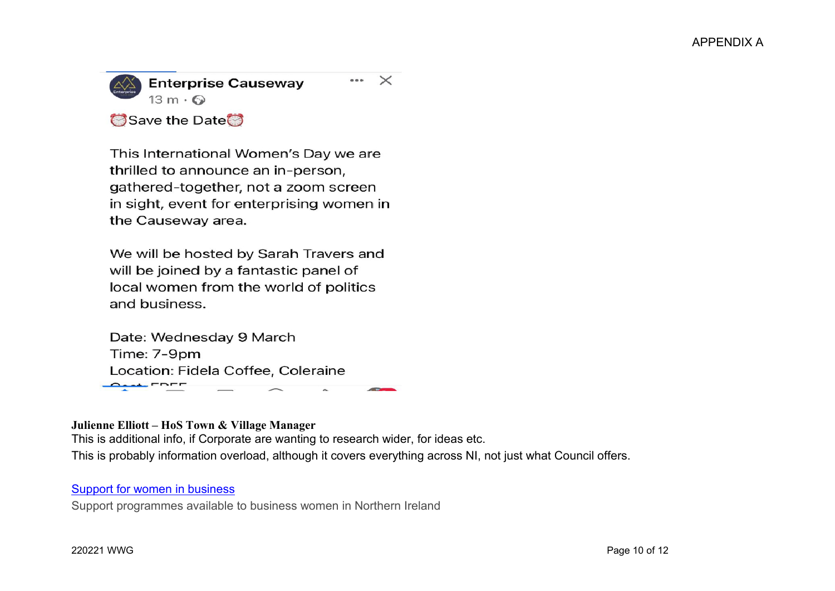

This International Women's Day we are thrilled to announce an in-person, gathered-together, not a zoom screen in sight, event for enterprising women in the Causeway area.

We will be hosted by Sarah Travers and will be joined by a fantastic panel of local women from the world of politics and business.

Date: Wednesday 9 March Time: 7-9pm Location: Fidela Coffee, Coleraine  $\overline{\phantom{a}}$ 

## **Julienne Elliott – HoS Town & Village Manager**

This is additional info, if Corporate are wanting to research wider, for ideas etc. This is probably information overload, although it covers everything across NI, not just what Council offers.

## Support for women in business

Support programmes available to business women in Northern Ireland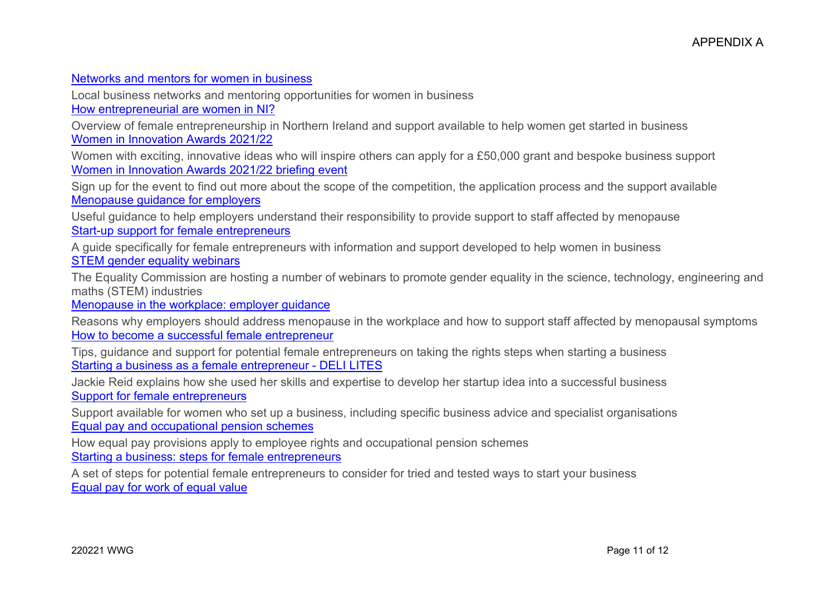## Networks and mentors for women in business

Local business networks and mentoring opportunities for women in business How entrepreneurial are women in NI?

Overview of female entrepreneurship in Northern Ireland and support available to help women get started in business Women in Innovation Awards 2021/22

Women with exciting, innovative ideas who will inspire others can apply for a £50,000 grant and bespoke business support Women in Innovation Awards 2021/22 briefing event

Sign up for the event to find out more about the scope of the competition, the application process and the support available Menopause guidance for employers

Useful guidance to help employers understand their responsibility to provide support to staff affected by menopause Start-up support for female entrepreneurs

A guide specifically for female entrepreneurs with information and support developed to help women in business STEM gender equality webinars

The Equality Commission are hosting a number of webinars to promote gender equality in the science, technology, engineering and maths (STEM) industries

Menopause in the workplace: employer guidance

Reasons why employers should address menopause in the workplace and how to support staff affected by menopausal symptoms How to become a successful female entrepreneur

Tips, guidance and support for potential female entrepreneurs on taking the rights steps when starting a business Starting a business as a female entrepreneur - DELI LITES

Jackie Reid explains how she used her skills and expertise to develop her startup idea into a successful business Support for female entrepreneurs

Support available for women who set up a business, including specific business advice and specialist organisations Equal pay and occupational pension schemes

How equal pay provisions apply to employee rights and occupational pension schemes

Starting a business: steps for female entrepreneurs

A set of steps for potential female entrepreneurs to consider for tried and tested ways to start your business Equal pay for work of equal value